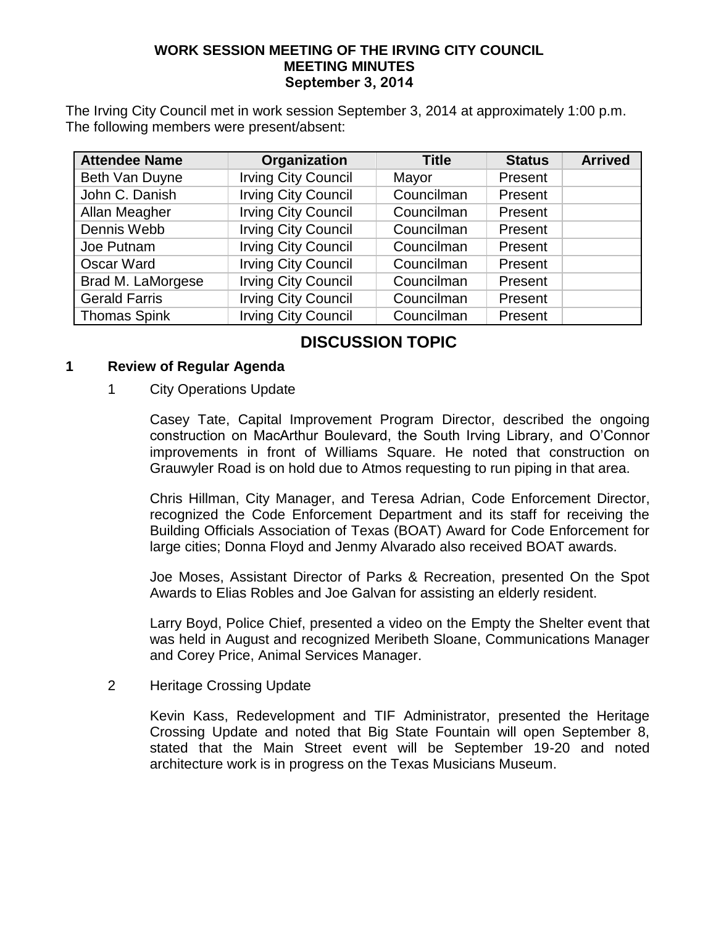### **WORK SESSION MEETING OF THE IRVING CITY COUNCIL MEETING MINUTES September 3, 2014**

The Irving City Council met in work session September 3, 2014 at approximately 1:00 p.m. The following members were present/absent:

| <b>Attendee Name</b> | Organization               | <b>Title</b> | <b>Status</b> | <b>Arrived</b> |
|----------------------|----------------------------|--------------|---------------|----------------|
| Beth Van Duyne       | <b>Irving City Council</b> | Mayor        | Present       |                |
| John C. Danish       | <b>Irving City Council</b> | Councilman   | Present       |                |
| Allan Meagher        | <b>Irving City Council</b> | Councilman   | Present       |                |
| Dennis Webb          | <b>Irving City Council</b> | Councilman   | Present       |                |
| Joe Putnam           | <b>Irving City Council</b> | Councilman   | Present       |                |
| <b>Oscar Ward</b>    | <b>Irving City Council</b> | Councilman   | Present       |                |
| Brad M. LaMorgese    | <b>Irving City Council</b> | Councilman   | Present       |                |
| <b>Gerald Farris</b> | <b>Irving City Council</b> | Councilman   | Present       |                |
| <b>Thomas Spink</b>  | <b>Irving City Council</b> | Councilman   | Present       |                |

## **DISCUSSION TOPIC**

### **1 Review of Regular Agenda**

### 1 City Operations Update

Casey Tate, Capital Improvement Program Director, described the ongoing construction on MacArthur Boulevard, the South Irving Library, and O'Connor improvements in front of Williams Square. He noted that construction on Grauwyler Road is on hold due to Atmos requesting to run piping in that area.

Chris Hillman, City Manager, and Teresa Adrian, Code Enforcement Director, recognized the Code Enforcement Department and its staff for receiving the Building Officials Association of Texas (BOAT) Award for Code Enforcement for large cities; Donna Floyd and Jenmy Alvarado also received BOAT awards.

Joe Moses, Assistant Director of Parks & Recreation, presented On the Spot Awards to Elias Robles and Joe Galvan for assisting an elderly resident.

Larry Boyd, Police Chief, presented a video on the Empty the Shelter event that was held in August and recognized Meribeth Sloane, Communications Manager and Corey Price, Animal Services Manager.

2 Heritage Crossing Update

Kevin Kass, Redevelopment and TIF Administrator, presented the Heritage Crossing Update and noted that Big State Fountain will open September 8, stated that the Main Street event will be September 19-20 and noted architecture work is in progress on the Texas Musicians Museum.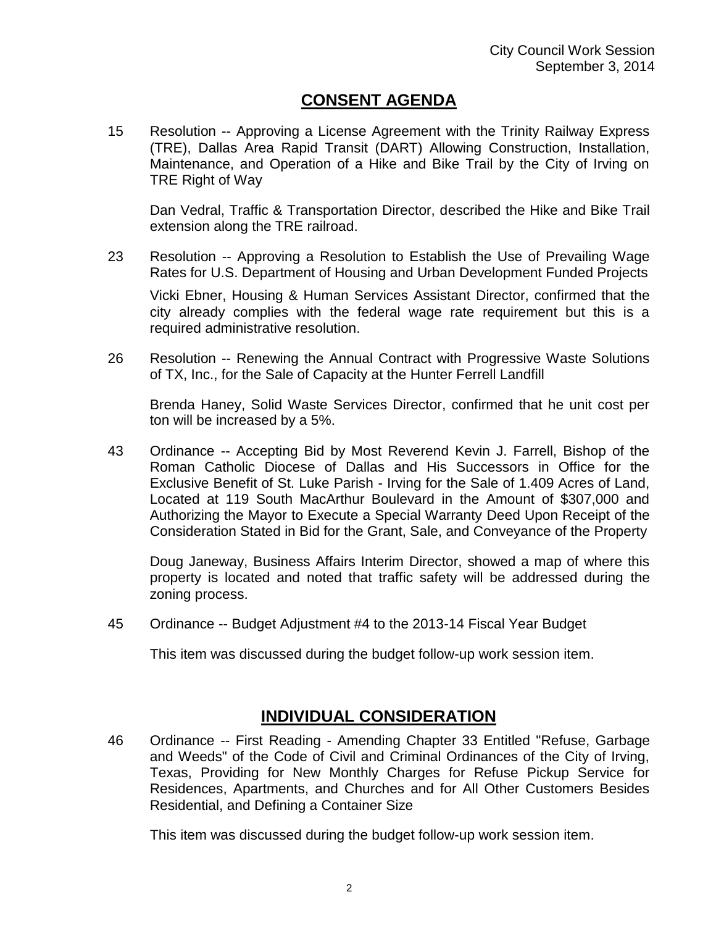### **CONSENT AGENDA**

15 Resolution -- Approving a License Agreement with the Trinity Railway Express (TRE), Dallas Area Rapid Transit (DART) Allowing Construction, Installation, Maintenance, and Operation of a Hike and Bike Trail by the City of Irving on TRE Right of Way

Dan Vedral, Traffic & Transportation Director, described the Hike and Bike Trail extension along the TRE railroad.

23 Resolution -- Approving a Resolution to Establish the Use of Prevailing Wage Rates for U.S. Department of Housing and Urban Development Funded Projects

Vicki Ebner, Housing & Human Services Assistant Director, confirmed that the city already complies with the federal wage rate requirement but this is a required administrative resolution.

26 Resolution -- Renewing the Annual Contract with Progressive Waste Solutions of TX, Inc., for the Sale of Capacity at the Hunter Ferrell Landfill

Brenda Haney, Solid Waste Services Director, confirmed that he unit cost per ton will be increased by a 5%.

43 Ordinance -- Accepting Bid by Most Reverend Kevin J. Farrell, Bishop of the Roman Catholic Diocese of Dallas and His Successors in Office for the Exclusive Benefit of St. Luke Parish - Irving for the Sale of 1.409 Acres of Land, Located at 119 South MacArthur Boulevard in the Amount of \$307,000 and Authorizing the Mayor to Execute a Special Warranty Deed Upon Receipt of the Consideration Stated in Bid for the Grant, Sale, and Conveyance of the Property

Doug Janeway, Business Affairs Interim Director, showed a map of where this property is located and noted that traffic safety will be addressed during the zoning process.

45 Ordinance -- Budget Adjustment #4 to the 2013-14 Fiscal Year Budget

This item was discussed during the budget follow-up work session item.

### **INDIVIDUAL CONSIDERATION**

46 Ordinance -- First Reading - Amending Chapter 33 Entitled "Refuse, Garbage and Weeds" of the Code of Civil and Criminal Ordinances of the City of Irving, Texas, Providing for New Monthly Charges for Refuse Pickup Service for Residences, Apartments, and Churches and for All Other Customers Besides Residential, and Defining a Container Size

This item was discussed during the budget follow-up work session item.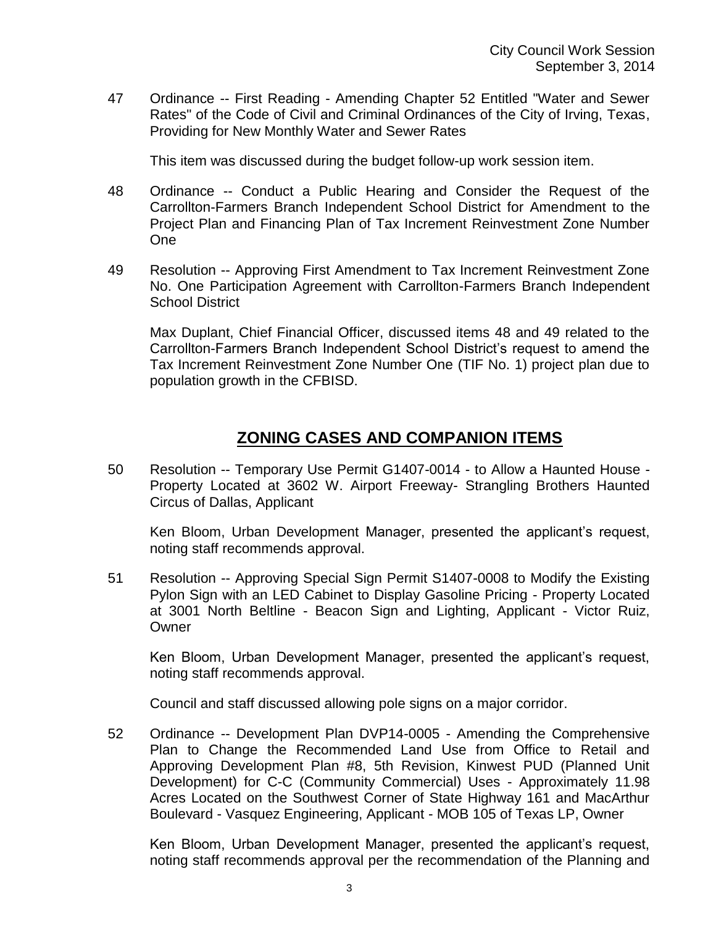47 Ordinance -- First Reading - Amending Chapter 52 Entitled "Water and Sewer Rates" of the Code of Civil and Criminal Ordinances of the City of Irving, Texas, Providing for New Monthly Water and Sewer Rates

This item was discussed during the budget follow-up work session item.

- 48 Ordinance -- Conduct a Public Hearing and Consider the Request of the Carrollton-Farmers Branch Independent School District for Amendment to the Project Plan and Financing Plan of Tax Increment Reinvestment Zone Number One
- 49 Resolution -- Approving First Amendment to Tax Increment Reinvestment Zone No. One Participation Agreement with Carrollton-Farmers Branch Independent School District

Max Duplant, Chief Financial Officer, discussed items 48 and 49 related to the Carrollton-Farmers Branch Independent School District's request to amend the Tax Increment Reinvestment Zone Number One (TIF No. 1) project plan due to population growth in the CFBISD.

# **ZONING CASES AND COMPANION ITEMS**

50 Resolution -- Temporary Use Permit G1407-0014 - to Allow a Haunted House - Property Located at 3602 W. Airport Freeway- Strangling Brothers Haunted Circus of Dallas, Applicant

Ken Bloom, Urban Development Manager, presented the applicant's request, noting staff recommends approval.

51 Resolution -- Approving Special Sign Permit S1407-0008 to Modify the Existing Pylon Sign with an LED Cabinet to Display Gasoline Pricing - Property Located at 3001 North Beltline - Beacon Sign and Lighting, Applicant - Victor Ruiz, **Owner** 

Ken Bloom, Urban Development Manager, presented the applicant's request, noting staff recommends approval.

Council and staff discussed allowing pole signs on a major corridor.

52 Ordinance -- Development Plan DVP14-0005 - Amending the Comprehensive Plan to Change the Recommended Land Use from Office to Retail and Approving Development Plan #8, 5th Revision, Kinwest PUD (Planned Unit Development) for C-C (Community Commercial) Uses - Approximately 11.98 Acres Located on the Southwest Corner of State Highway 161 and MacArthur Boulevard - Vasquez Engineering, Applicant - MOB 105 of Texas LP, Owner

Ken Bloom, Urban Development Manager, presented the applicant's request, noting staff recommends approval per the recommendation of the Planning and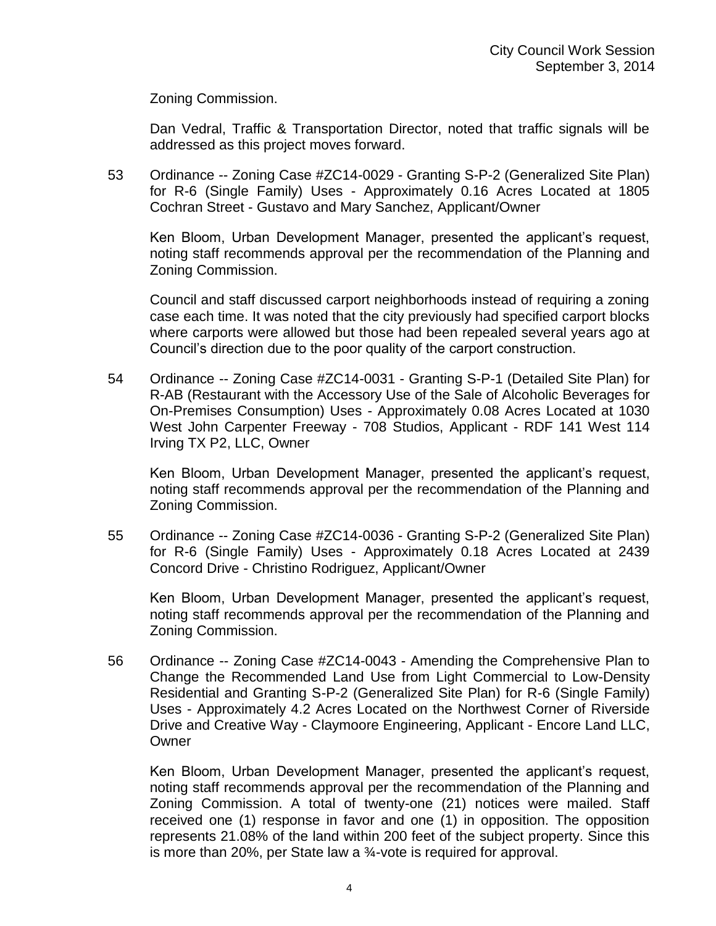Zoning Commission.

Dan Vedral, Traffic & Transportation Director, noted that traffic signals will be addressed as this project moves forward.

53 Ordinance -- Zoning Case #ZC14-0029 - Granting S-P-2 (Generalized Site Plan) for R-6 (Single Family) Uses - Approximately 0.16 Acres Located at 1805 Cochran Street - Gustavo and Mary Sanchez, Applicant/Owner

Ken Bloom, Urban Development Manager, presented the applicant's request, noting staff recommends approval per the recommendation of the Planning and Zoning Commission.

Council and staff discussed carport neighborhoods instead of requiring a zoning case each time. It was noted that the city previously had specified carport blocks where carports were allowed but those had been repealed several years ago at Council's direction due to the poor quality of the carport construction.

54 Ordinance -- Zoning Case #ZC14-0031 - Granting S-P-1 (Detailed Site Plan) for R-AB (Restaurant with the Accessory Use of the Sale of Alcoholic Beverages for On-Premises Consumption) Uses - Approximately 0.08 Acres Located at 1030 West John Carpenter Freeway - 708 Studios, Applicant - RDF 141 West 114 Irving TX P2, LLC, Owner

Ken Bloom, Urban Development Manager, presented the applicant's request, noting staff recommends approval per the recommendation of the Planning and Zoning Commission.

55 Ordinance -- Zoning Case #ZC14-0036 - Granting S-P-2 (Generalized Site Plan) for R-6 (Single Family) Uses - Approximately 0.18 Acres Located at 2439 Concord Drive - Christino Rodriguez, Applicant/Owner

Ken Bloom, Urban Development Manager, presented the applicant's request, noting staff recommends approval per the recommendation of the Planning and Zoning Commission.

56 Ordinance -- Zoning Case #ZC14-0043 - Amending the Comprehensive Plan to Change the Recommended Land Use from Light Commercial to Low-Density Residential and Granting S-P-2 (Generalized Site Plan) for R-6 (Single Family) Uses - Approximately 4.2 Acres Located on the Northwest Corner of Riverside Drive and Creative Way - Claymoore Engineering, Applicant - Encore Land LLC, **Owner** 

Ken Bloom, Urban Development Manager, presented the applicant's request, noting staff recommends approval per the recommendation of the Planning and Zoning Commission. A total of twenty-one (21) notices were mailed. Staff received one (1) response in favor and one (1) in opposition. The opposition represents 21.08% of the land within 200 feet of the subject property. Since this is more than 20%, per State law a ¾-vote is required for approval.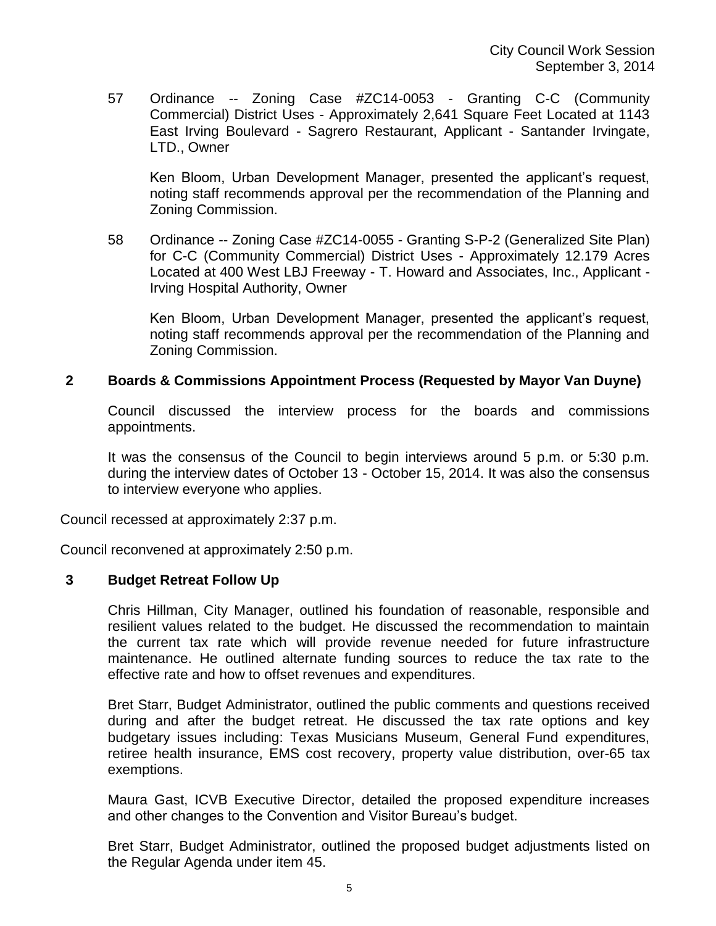57 Ordinance -- Zoning Case #ZC14-0053 - Granting C-C (Community Commercial) District Uses - Approximately 2,641 Square Feet Located at 1143 East Irving Boulevard - Sagrero Restaurant, Applicant - Santander Irvingate, LTD., Owner

Ken Bloom, Urban Development Manager, presented the applicant's request, noting staff recommends approval per the recommendation of the Planning and Zoning Commission.

58 Ordinance -- Zoning Case #ZC14-0055 - Granting S-P-2 (Generalized Site Plan) for C-C (Community Commercial) District Uses - Approximately 12.179 Acres Located at 400 West LBJ Freeway - T. Howard and Associates, Inc., Applicant - Irving Hospital Authority, Owner

Ken Bloom, Urban Development Manager, presented the applicant's request, noting staff recommends approval per the recommendation of the Planning and Zoning Commission.

### **2 Boards & Commissions Appointment Process (Requested by Mayor Van Duyne)**

Council discussed the interview process for the boards and commissions appointments.

It was the consensus of the Council to begin interviews around 5 p.m. or 5:30 p.m. during the interview dates of October 13 - October 15, 2014. It was also the consensus to interview everyone who applies.

Council recessed at approximately 2:37 p.m.

Council reconvened at approximately 2:50 p.m.

#### **3 Budget Retreat Follow Up**

Chris Hillman, City Manager, outlined his foundation of reasonable, responsible and resilient values related to the budget. He discussed the recommendation to maintain the current tax rate which will provide revenue needed for future infrastructure maintenance. He outlined alternate funding sources to reduce the tax rate to the effective rate and how to offset revenues and expenditures.

Bret Starr, Budget Administrator, outlined the public comments and questions received during and after the budget retreat. He discussed the tax rate options and key budgetary issues including: Texas Musicians Museum, General Fund expenditures, retiree health insurance, EMS cost recovery, property value distribution, over-65 tax exemptions.

Maura Gast, ICVB Executive Director, detailed the proposed expenditure increases and other changes to the Convention and Visitor Bureau's budget.

Bret Starr, Budget Administrator, outlined the proposed budget adjustments listed on the Regular Agenda under item 45.